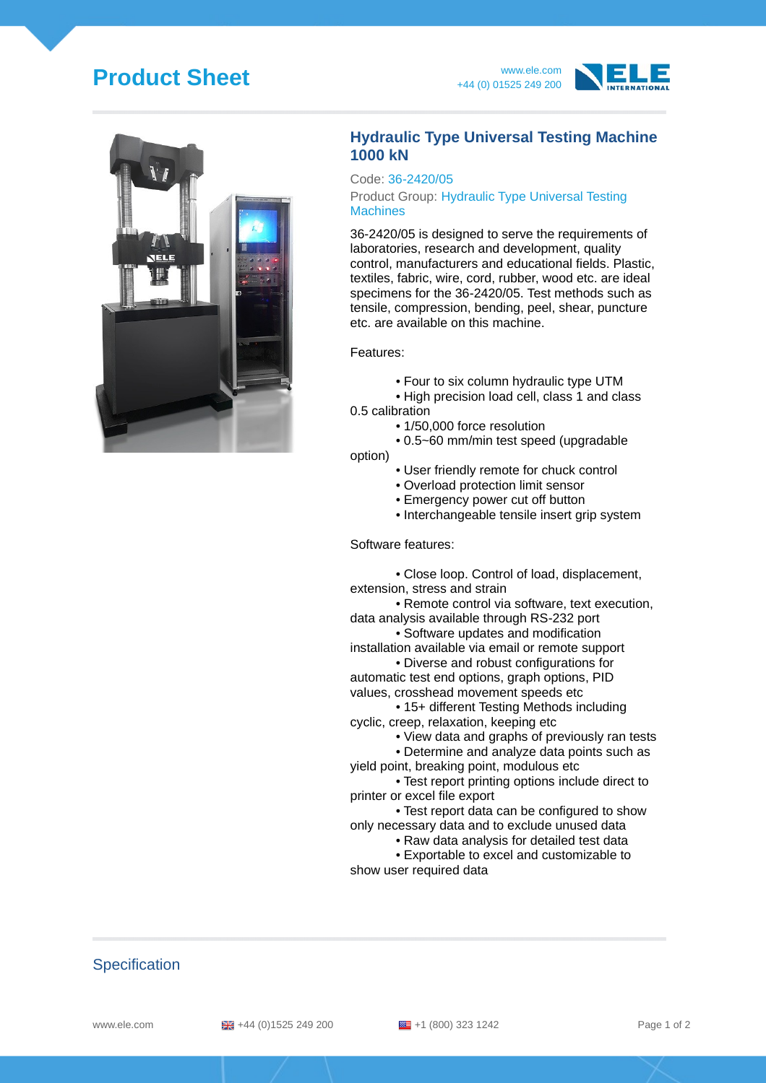# **Product Sheet** www.ele.com







### **Hydraulic Type Universal Testing Machine 1000 kN**

#### Code: 36-2420/05

Product Group: Hydraulic Type Universal Testing **Machines** 

36-2420/05 is designed to serve the requirements of laboratories, research and development, quality control, manufacturers and educational fields. Plastic, textiles, fabric, wire, cord, rubber, wood etc. are ideal specimens for the 36-2420/05. Test methods such as tensile, compression, bending, peel, shear, puncture etc. are available on this machine.

Features:

- Four to six column hydraulic type UTM
- High precision load cell, class 1 and class 0.5 calibration
	- 1/50,000 force resolution
	- 0.5~60 mm/min test speed (upgradable

option)

- User friendly remote for chuck control
- Overload protection limit sensor
- Emergency power cut off button
- Interchangeable tensile insert grip system

#### Software features:

• Close loop. Control of load, displacement, extension, stress and strain

• Remote control via software, text execution, data analysis available through RS-232 port

- Software updates and modification installation available via email or remote support
- Diverse and robust configurations for
- automatic test end options, graph options, PID values, crosshead movement speeds etc

• 15+ different Testing Methods including cyclic, creep, relaxation, keeping etc

- View data and graphs of previously ran tests
- Determine and analyze data points such as

yield point, breaking point, modulous etc

• Test report printing options include direct to printer or excel file export

• Test report data can be configured to show only necessary data and to exclude unused data

• Raw data analysis for detailed test data

• Exportable to excel and customizable to show user required data

## **Specification**